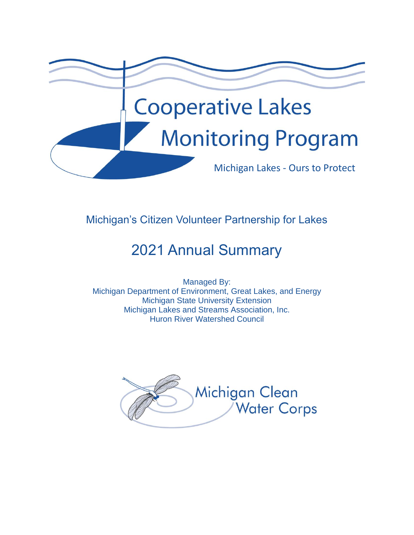

### Michigan's Citizen Volunteer Partnership for Lakes

# 2021 Annual Summary

Managed By: Michigan Department of Environment, Great Lakes, and Energy Michigan State University Extension Michigan Lakes and Streams Association, Inc. Huron River Watershed Council

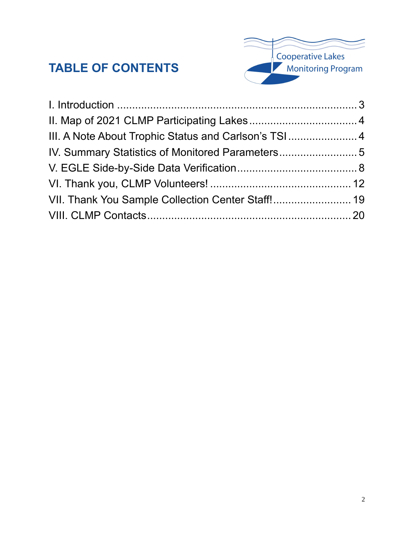## **TABLE OF CONTENTS**



| III. A Note About Trophic Status and Carlson's TSI4 |  |
|-----------------------------------------------------|--|
|                                                     |  |
|                                                     |  |
|                                                     |  |
|                                                     |  |
|                                                     |  |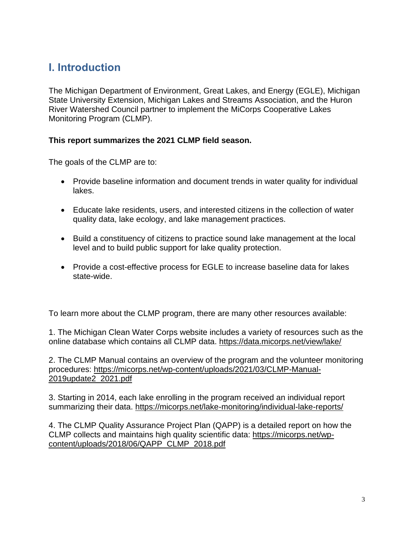### <span id="page-2-0"></span>**I. Introduction**

The Michigan Department of Environment, Great Lakes, and Energy (EGLE), Michigan State University Extension, Michigan Lakes and Streams Association, and the Huron River Watershed Council partner to implement the MiCorps Cooperative Lakes Monitoring Program (CLMP).

#### **This report summarizes the 2021 CLMP field season.**

The goals of the CLMP are to:

- Provide baseline information and document trends in water quality for individual lakes.
- Educate lake residents, users, and interested citizens in the collection of water quality data, lake ecology, and lake management practices.
- Build a constituency of citizens to practice sound lake management at the local level and to build public support for lake quality protection.
- Provide a cost-effective process for EGLE to increase baseline data for lakes state-wide.

To learn more about the CLMP program, there are many other resources available:

1. The Michigan Clean Water Corps website includes a variety of resources such as the online database which contains all CLMP data.<https://data.micorps.net/view/lake/>

2. The CLMP Manual contains an overview of the program and the volunteer monitoring procedures: [https://micorps.net/wp-content/uploads/2021/03/CLMP-Manual-](https://micorps.net/wp-content/uploads/2021/03/CLMP-Manual-2019update2_2021.pdf)[2019update2\\_2021.pdf](https://micorps.net/wp-content/uploads/2021/03/CLMP-Manual-2019update2_2021.pdf)

3. Starting in 2014, each lake enrolling in the program received an individual report summarizing their data.<https://micorps.net/lake-monitoring/individual-lake-reports/>

4. The CLMP Quality Assurance Project Plan (QAPP) is a detailed report on how the CLMP collects and maintains high quality scientific data: [https://micorps.net/wp](https://micorps.net/wp-content/uploads/2018/06/QAPP_CLMP_2018.pdf)[content/uploads/2018/06/QAPP\\_CLMP\\_2018.pdf](https://micorps.net/wp-content/uploads/2018/06/QAPP_CLMP_2018.pdf)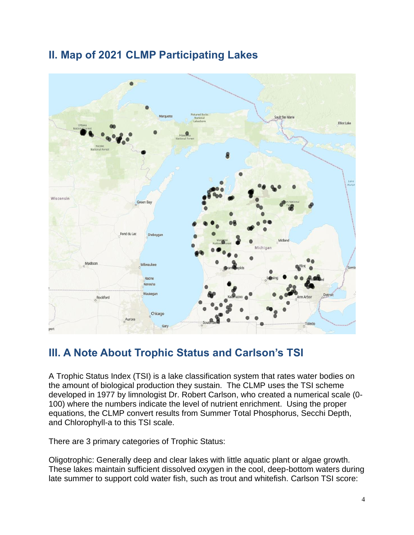### <span id="page-3-0"></span>**II. Map of 2021 CLMP Participating Lakes**



### <span id="page-3-1"></span>**III. A Note About Trophic Status and Carlson's TSI**

A Trophic Status Index (TSI) is a lake classification system that rates water bodies on the amount of biological production they sustain. The CLMP uses the TSI scheme developed in 1977 by limnologist Dr. Robert Carlson, who created a numerical scale (0- 100) where the numbers indicate the level of nutrient enrichment. Using the proper equations, the CLMP convert results from Summer Total Phosphorus, Secchi Depth, and Chlorophyll-a to this TSI scale.

There are 3 primary categories of Trophic Status:

Oligotrophic: Generally deep and clear lakes with little aquatic plant or algae growth. These lakes maintain sufficient dissolved oxygen in the cool, deep-bottom waters during late summer to support cold water fish, such as trout and whitefish. Carlson TSI score: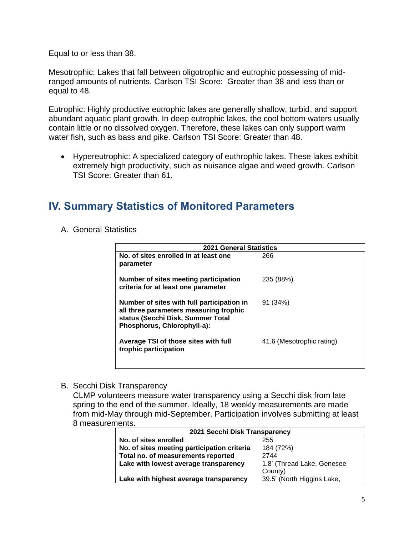Equal to or less than 38.

Mesotrophic: Lakes that fall between oligotrophic and eutrophic possessing of midranged amounts of nutrients. Carlson TSI Score: Greater than 38 and less than or equal to 48.

Eutrophic: Highly productive eutrophic lakes are generally shallow, turbid, and support abundant aquatic plant growth. In deep eutrophic lakes, the cool bottom waters usually contain little or no dissolved oxygen. Therefore, these lakes can only support warm water fish, such as bass and pike. Carlson TSI Score: Greater than 48.

• Hypereutrophic: A specialized category of euthrophic lakes. These lakes exhibit extremely high productivity, such as nuisance algae and weed growth. Carlson TSI Score: Greater than 61.

### <span id="page-4-0"></span>**IV. Summary Statistics of Monitored Parameters**

A. General Statistics

| <b>2021 General Statistics</b>                                                                                                                           |                           |  |  |
|----------------------------------------------------------------------------------------------------------------------------------------------------------|---------------------------|--|--|
| No. of sites enrolled in at least one<br>parameter                                                                                                       | 266                       |  |  |
| Number of sites meeting participation<br>criteria for at least one parameter                                                                             | 235 (88%)                 |  |  |
| Number of sites with full participation in<br>all three parameters measuring trophic<br>status (Secchi Disk, Summer Total<br>Phosphorus, Chlorophyll-a): | 91 (34%)                  |  |  |
| Average TSI of those sites with full<br>trophic participation                                                                                            | 41.6 (Mesotrophic rating) |  |  |

B. Secchi Disk Transparency

CLMP volunteers measure water transparency using a Secchi disk from late spring to the end of the summer. Ideally, 18 weekly measurements are made from mid-May through mid-September. Participation involves submitting at least 8 measurements.

| 2021 Secchi Disk Transparency               |                            |  |
|---------------------------------------------|----------------------------|--|
| No. of sites enrolled                       | 255                        |  |
| No. of sites meeting participation criteria | 184 (72%)                  |  |
| Total no. of measurements reported          | 2744                       |  |
| Lake with lowest average transparency       | 1.8' (Thread Lake, Genesee |  |
|                                             | County)                    |  |
| Lake with highest average transparency      | 39.5' (North Higgins Lake, |  |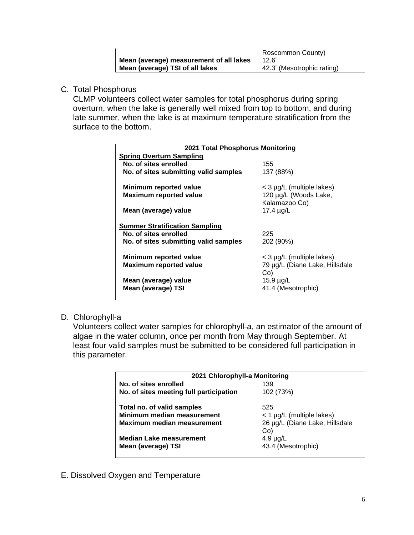|                                         | Roscommon County)          |
|-----------------------------------------|----------------------------|
| Mean (average) measurement of all lakes | 12.6'                      |
| Mean (average) TSI of all lakes         | 42.3' (Mesotrophic rating) |

#### C. Total Phosphorus

CLMP volunteers collect water samples for total phosphorus during spring overturn, when the lake is generally well mixed from top to bottom, and during late summer, when the lake is at maximum temperature stratification from the surface to the bottom.

| 2021 Total Phosphorus Monitoring                                                                        |                                                                     |  |
|---------------------------------------------------------------------------------------------------------|---------------------------------------------------------------------|--|
| <b>Spring Overturn Sampling</b>                                                                         |                                                                     |  |
| No. of sites enrolled                                                                                   | 155                                                                 |  |
| No. of sites submitting valid samples                                                                   | 137 (88%)                                                           |  |
| Minimum reported value<br><b>Maximum reported value</b>                                                 | < 3 µg/L (multiple lakes)<br>120 µg/L (Woods Lake,<br>Kalamazoo Co) |  |
| Mean (average) value                                                                                    | 17.4 µg/L                                                           |  |
| <b>Summer Stratification Sampling</b><br>No. of sites enrolled<br>No. of sites submitting valid samples | 225<br>202 (90%)                                                    |  |
| Minimum reported value<br><b>Maximum reported value</b>                                                 | < 3 μg/L (multiple lakes)<br>79 µg/L (Diane Lake, Hillsdale<br>Co)  |  |
| Mean (average) value<br><b>Mean (average) TSI</b>                                                       | 15.9 µg/L<br>41.4 (Mesotrophic)                                     |  |

#### D. Chlorophyll-a

Volunteers collect water samples for chlorophyll-a, an estimator of the amount of algae in the water column, once per month from May through September. At least four valid samples must be submitted to be considered full participation in this parameter.

| 2021 Chlorophyll-a Monitoring           |                                |  |
|-----------------------------------------|--------------------------------|--|
| No. of sites enrolled                   | 139                            |  |
| No. of sites meeting full participation | 102 (73%)                      |  |
| Total no. of valid samples              | 525                            |  |
| Minimum median measurement              | $<$ 1 µg/L (multiple lakes)    |  |
| Maximum median measurement              | 26 µg/L (Diane Lake, Hillsdale |  |
|                                         | Co)                            |  |
| <b>Median Lake measurement</b>          | $4.9 \mu g/L$                  |  |
| Mean (average) TSI                      | 43.4 (Mesotrophic)             |  |
|                                         |                                |  |

E. Dissolved Oxygen and Temperature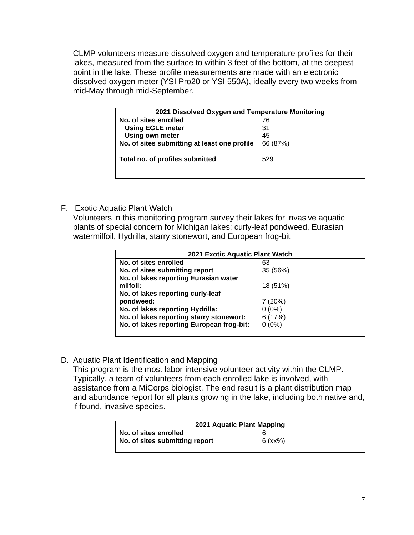CLMP volunteers measure dissolved oxygen and temperature profiles for their lakes, measured from the surface to within 3 feet of the bottom, at the deepest point in the lake. These profile measurements are made with an electronic dissolved oxygen meter (YSI Pro20 or YSI 550A), ideally every two weeks from mid-May through mid-September.

| 2021 Dissolved Oxygen and Temperature Monitoring |          |  |  |
|--------------------------------------------------|----------|--|--|
| No. of sites enrolled                            | 76       |  |  |
| <b>Using EGLE meter</b>                          | 31       |  |  |
| Using own meter                                  | 45       |  |  |
| No. of sites submitting at least one profile     | 66 (87%) |  |  |
| Total no. of profiles submitted                  | 529      |  |  |

F. Exotic Aquatic Plant Watch

Volunteers in this monitoring program survey their lakes for invasive aquatic plants of special concern for Michigan lakes: curly-leaf pondweed, Eurasian watermilfoil, Hydrilla, starry stonewort, and European frog-bit

| 2021 Exotic Aquatic Plant Watch           |          |  |
|-------------------------------------------|----------|--|
| No. of sites enrolled                     | 63       |  |
| No. of sites submitting report            | 35 (56%) |  |
| No. of lakes reporting Eurasian water     |          |  |
| milfoil:                                  | 18 (51%) |  |
| No. of lakes reporting curly-leaf         |          |  |
| pondweed:                                 | 7 (20%)  |  |
| No. of lakes reporting Hydrilla:          | $0(0\%)$ |  |
| No. of lakes reporting starry stonewort:  | 6(17%)   |  |
| No. of lakes reporting European frog-bit: | $0(0\%)$ |  |
|                                           |          |  |

D. Aquatic Plant Identification and Mapping

This program is the most labor-intensive volunteer activity within the CLMP. Typically, a team of volunteers from each enrolled lake is involved, with assistance from a MiCorps biologist. The end result is a plant distribution map and abundance report for all plants growing in the lake, including both native and, if found, invasive species.

| 2021 Aquatic Plant Mapping     |         |  |
|--------------------------------|---------|--|
| ∣ No. of sites enrolled∣       |         |  |
| No. of sites submitting report | 6 (xx%) |  |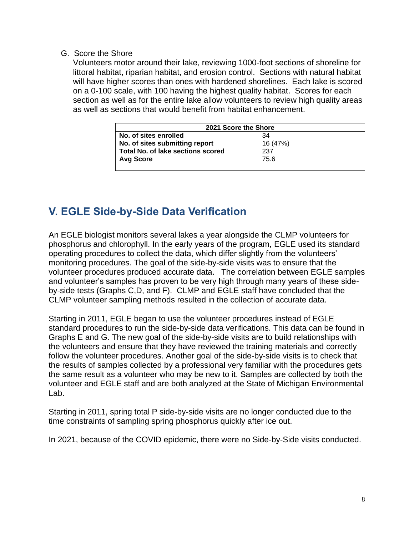#### G. Score the Shore

Volunteers motor around their lake, reviewing 1000-foot sections of shoreline for littoral habitat, riparian habitat, and erosion control. Sections with natural habitat will have higher scores than ones with hardened shorelines. Each lake is scored on a 0-100 scale, with 100 having the highest quality habitat. Scores for each section as well as for the entire lake allow volunteers to review high quality areas as well as sections that would benefit from habitat enhancement.

| 2021 Score the Shore              |          |  |
|-----------------------------------|----------|--|
| No. of sites enrolled             | 34       |  |
| No. of sites submitting report    | 16 (47%) |  |
| Total No. of lake sections scored | 237      |  |
| <b>Avg Score</b>                  | 75.6     |  |

### <span id="page-7-0"></span>**V. EGLE Side-by-Side Data Verification**

An EGLE biologist monitors several lakes a year alongside the CLMP volunteers for phosphorus and chlorophyll. In the early years of the program, EGLE used its standard operating procedures to collect the data, which differ slightly from the volunteers' monitoring procedures. The goal of the side-by-side visits was to ensure that the volunteer procedures produced accurate data. The correlation between EGLE samples and volunteer's samples has proven to be very high through many years of these sideby-side tests (Graphs C,D, and F). CLMP and EGLE staff have concluded that the CLMP volunteer sampling methods resulted in the collection of accurate data.

Starting in 2011, EGLE began to use the volunteer procedures instead of EGLE standard procedures to run the side-by-side data verifications. This data can be found in Graphs E and G. The new goal of the side-by-side visits are to build relationships with the volunteers and ensure that they have reviewed the training materials and correctly follow the volunteer procedures. Another goal of the side-by-side visits is to check that the results of samples collected by a professional very familiar with the procedures gets the same result as a volunteer who may be new to it. Samples are collected by both the volunteer and EGLE staff and are both analyzed at the State of Michigan Environmental Lab.

Starting in 2011, spring total P side-by-side visits are no longer conducted due to the time constraints of sampling spring phosphorus quickly after ice out.

In 2021, because of the COVID epidemic, there were no Side-by-Side visits conducted.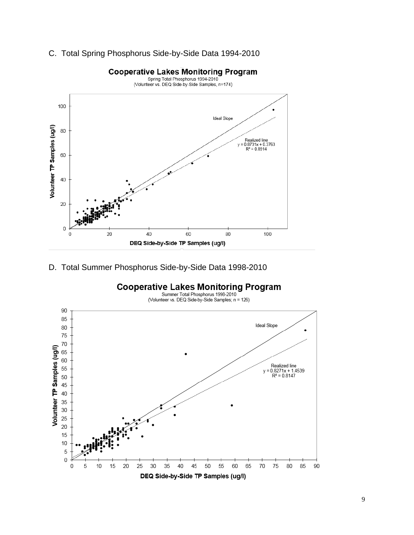#### C. Total Spring Phosphorus Side-by-Side Data 1994-2010



#### **Cooperative Lakes Monitoring Program**

D. Total Summer Phosphorus Side-by-Side Data 1998-2010

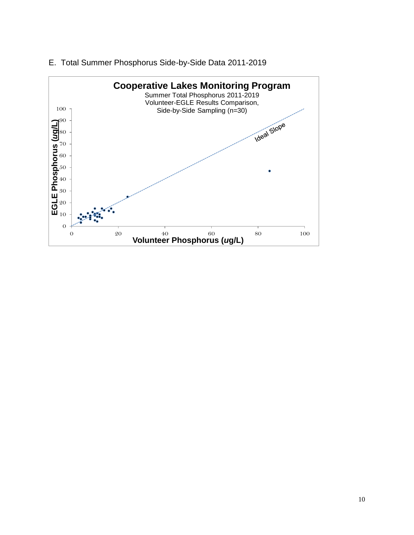

E. Total Summer Phosphorus Side-by-Side Data 2011-2019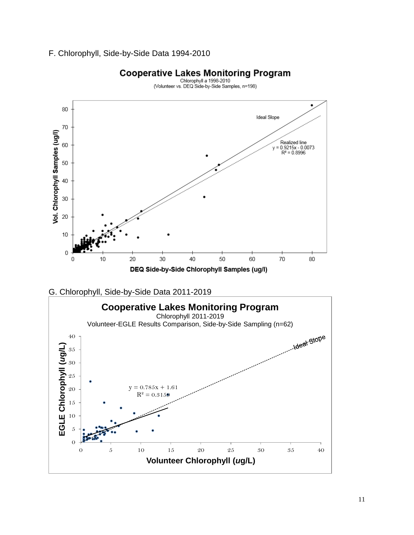#### F. Chlorophyll, Side-by-Side Data 1994-2010



Cooperative Lakes Monitoring Program<br>Chlorophyll a 1998-2010<br>(Volunteer vs. DEQ Side-by-Side Samples, n=198)

#### G. Chlorophyll, Side-by-Side Data 2011-2019

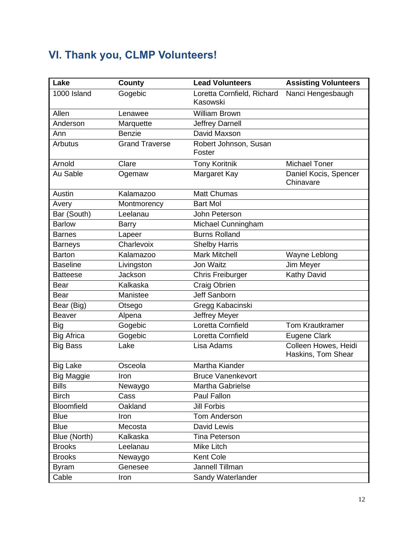# <span id="page-11-0"></span>**VI. Thank you, CLMP Volunteers!**

| Lake                | County                | <b>Lead Volunteers</b>                 | <b>Assisting Volunteers</b>                |
|---------------------|-----------------------|----------------------------------------|--------------------------------------------|
| 1000 Island         | Gogebic               | Loretta Cornfield, Richard<br>Kasowski | Nanci Hengesbaugh                          |
| Allen               | Lenawee               | <b>William Brown</b>                   |                                            |
| Anderson            | Marquette             | Jeffrey Darnell                        |                                            |
| Ann                 | Benzie                | David Maxson                           |                                            |
| <b>Arbutus</b>      | <b>Grand Traverse</b> | Robert Johnson, Susan<br>Foster        |                                            |
| Arnold              | Clare                 | <b>Tony Koritnik</b>                   | <b>Michael Toner</b>                       |
| Au Sable            | Ogemaw                | Margaret Kay                           | Daniel Kocis, Spencer<br>Chinavare         |
| Austin              | Kalamazoo             | <b>Matt Chumas</b>                     |                                            |
| Avery               | Montmorency           | <b>Bart Mol</b>                        |                                            |
| Bar (South)         | Leelanau              | John Peterson                          |                                            |
| <b>Barlow</b>       | <b>Barry</b>          | Michael Cunningham                     |                                            |
| <b>Barnes</b>       | Lapeer                | <b>Burns Rolland</b>                   |                                            |
| <b>Barneys</b>      | Charlevoix            | <b>Shelby Harris</b>                   |                                            |
| <b>Barton</b>       | Kalamazoo             | Mark Mitchell                          | Wayne Leblong                              |
| <b>Baseline</b>     | Livingston            | <b>Jon Waitz</b>                       | Jim Meyer                                  |
| <b>Batteese</b>     | Jackson               | Chris Freiburger                       | <b>Kathy David</b>                         |
| Bear                | Kalkaska              | Craig Obrien                           |                                            |
| <b>Bear</b>         | Manistee              | <b>Jeff Sanborn</b>                    |                                            |
| Bear (Big)          | Otsego                | Gregg Kabacinski                       |                                            |
| <b>Beaver</b>       | Alpena                | Jeffrey Meyer                          |                                            |
| Big                 | Gogebic               | Loretta Cornfield                      | <b>Tom Krautkramer</b>                     |
| <b>Big Africa</b>   | Gogebic               | Loretta Cornfield                      | <b>Eugene Clark</b>                        |
| <b>Big Bass</b>     | Lake                  | Lisa Adams                             | Colleen Howes, Heidi<br>Haskins, Tom Shear |
| <b>Big Lake</b>     | Osceola               | Martha Kiander                         |                                            |
| <b>Big Maggie</b>   | Iron                  | <b>Bruce Vanenkevort</b>               |                                            |
| <b>Bills</b>        | Newaygo               | Martha Gabrielse                       |                                            |
| <b>Birch</b>        | Cass                  | Paul Fallon                            |                                            |
| <b>Bloomfield</b>   | Oakland               | <b>Jill Forbis</b>                     |                                            |
| <b>Blue</b>         | Iron                  | <b>Tom Anderson</b>                    |                                            |
| <b>Blue</b>         | Mecosta               | David Lewis                            |                                            |
| <b>Blue (North)</b> | Kalkaska              | <b>Tina Peterson</b>                   |                                            |
| <b>Brooks</b>       | Leelanau              | Mike Litch                             |                                            |
| <b>Brooks</b>       | Newaygo               | <b>Kent Cole</b>                       |                                            |
| <b>Byram</b>        | Genesee               | Jannell Tillman                        |                                            |
| Cable               | Iron                  | Sandy Waterlander                      |                                            |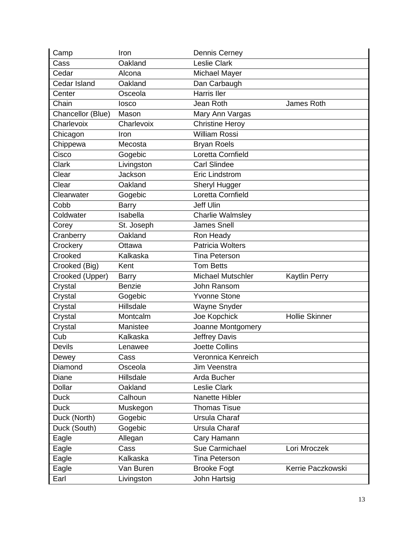| Camp              | Iron            | Dennis Cerney           |                       |
|-------------------|-----------------|-------------------------|-----------------------|
| Cass              | Oakland         | Leslie Clark            |                       |
| Cedar             | Alcona          | Michael Mayer           |                       |
| Cedar Island      | Oakland         | Dan Carbaugh            |                       |
| Center            | Osceola         | <b>Harris Iler</b>      |                       |
| Chain             | losco           | Jean Roth               | James Roth            |
| Chancellor (Blue) | Mason           | Mary Ann Vargas         |                       |
| Charlevoix        | Charlevoix      | <b>Christine Heroy</b>  |                       |
| Chicagon          | Iron            | <b>William Rossi</b>    |                       |
| Chippewa          | Mecosta         | <b>Bryan Roels</b>      |                       |
| Cisco             | Gogebic         | Loretta Cornfield       |                       |
| <b>Clark</b>      | Livingston      | <b>Carl Slindee</b>     |                       |
| Clear             | Jackson         | <b>Eric Lindstrom</b>   |                       |
| Clear             | Oakland         | Sheryl Hugger           |                       |
| Clearwater        | Gogebic         | Loretta Cornfield       |                       |
| Cobb              | <b>Barry</b>    | <b>Jeff Ulin</b>        |                       |
| Coldwater         | Isabella        | <b>Charlie Walmsley</b> |                       |
| Corey             | St. Joseph      | <b>James Snell</b>      |                       |
| Cranberry         | Oakland         | Ron Heady               |                       |
| Crockery          | Ottawa          | <b>Patricia Wolters</b> |                       |
| Crooked           | Kalkaska        | <b>Tina Peterson</b>    |                       |
| Crooked (Big)     | Kent            | <b>Tom Betts</b>        |                       |
| Crooked (Upper)   | <b>Barry</b>    | Michael Mutschler       | <b>Kaytlin Perry</b>  |
| Crystal           | <b>Benzie</b>   | John Ransom             |                       |
| Crystal           | Gogebic         | <b>Yvonne Stone</b>     |                       |
| Crystal           | Hillsdale       | Wayne Snyder            |                       |
| Crystal           | Montcalm        | Joe Kopchick            | <b>Hollie Skinner</b> |
| Crystal           | <b>Manistee</b> | Joanne Montgomery       |                       |
| Cub               | Kalkaska        | <b>Jeffrey Davis</b>    |                       |
| <b>Devils</b>     | Lenawee         | <b>Joette Collins</b>   |                       |
| Dewey             | Cass            | Veronnica Kenreich      |                       |
| Diamond           | Osceola         | Jim Veenstra            |                       |
| Diane             | Hillsdale       | Arda Bucher             |                       |
| <b>Dollar</b>     | Oakland         | Leslie Clark            |                       |
| <b>Duck</b>       | Calhoun         | Nanette Hibler          |                       |
| <b>Duck</b>       | Muskegon        | <b>Thomas Tisue</b>     |                       |
| Duck (North)      | Gogebic         | Ursula Charaf           |                       |
| Duck (South)      | Gogebic         | <b>Ursula Charaf</b>    |                       |
| Eagle             | Allegan         | Cary Hamann             |                       |
| Eagle             | Cass            | Sue Carmichael          | Lori Mroczek          |
| Eagle             | Kalkaska        | <b>Tina Peterson</b>    |                       |
| Eagle             | Van Buren       | <b>Brooke Fogt</b>      | Kerrie Paczkowski     |
| Earl              | Livingston      | John Hartsig            |                       |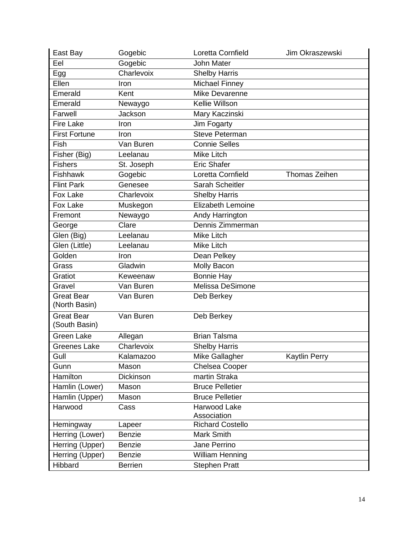| East Bay                           | Gogebic        | Loretta Cornfield           | Jim Okraszewski      |
|------------------------------------|----------------|-----------------------------|----------------------|
| Eel                                | Gogebic        | <b>John Mater</b>           |                      |
| Egg                                | Charlevoix     | <b>Shelby Harris</b>        |                      |
| Ellen                              | Iron           | <b>Michael Finney</b>       |                      |
| Emerald                            | Kent           | Mike Devarenne              |                      |
| Emerald                            | Newaygo        | Kellie Willson              |                      |
| Farwell                            | Jackson        | Mary Kaczinski              |                      |
| <b>Fire Lake</b>                   | Iron           | Jim Fogarty                 |                      |
| <b>First Fortune</b>               | <b>Iron</b>    | <b>Steve Peterman</b>       |                      |
| Fish                               | Van Buren      | <b>Connie Selles</b>        |                      |
| Fisher (Big)                       | Leelanau       | <b>Mike Litch</b>           |                      |
| <b>Fishers</b>                     | St. Joseph     | <b>Eric Shafer</b>          |                      |
| <b>Fishhawk</b>                    | Gogebic        | Loretta Cornfield           | Thomas Zeihen        |
| <b>Flint Park</b>                  | Genesee        | Sarah Scheitler             |                      |
| Fox Lake                           | Charlevoix     | <b>Shelby Harris</b>        |                      |
| Fox Lake                           | Muskegon       | <b>Elizabeth Lemoine</b>    |                      |
| Fremont                            | Newaygo        | Andy Harrington             |                      |
| George                             | Clare          | Dennis Zimmerman            |                      |
| Glen (Big)                         | Leelanau       | Mike Litch                  |                      |
| Glen (Little)                      | Leelanau       | <b>Mike Litch</b>           |                      |
| Golden                             | <b>Iron</b>    | Dean Pelkey                 |                      |
| Grass                              | Gladwin        | Molly Bacon                 |                      |
| Gratiot                            | Keweenaw       | <b>Bonnie Hay</b>           |                      |
| Gravel                             | Van Buren      | Melissa DeSimone            |                      |
| <b>Great Bear</b><br>(North Basin) | Van Buren      | Deb Berkey                  |                      |
| <b>Great Bear</b><br>(South Basin) | Van Buren      | Deb Berkey                  |                      |
| <b>Green Lake</b>                  | Allegan        | <b>Brian Talsma</b>         |                      |
| <b>Greenes Lake</b>                | Charlevoix     | <b>Shelby Harris</b>        |                      |
| Gull                               | Kalamazoo      | Mike Gallagher              | <b>Kaytlin Perry</b> |
| Gunn                               | Mason          | <b>Chelsea Cooper</b>       |                      |
| Hamilton                           | Dickinson      | martin Straka               |                      |
| Hamlin (Lower)                     | Mason          | <b>Bruce Pelletier</b>      |                      |
| Hamlin (Upper)                     | Mason          | <b>Bruce Pelletier</b>      |                      |
| Harwood                            | Cass           | Harwood Lake<br>Association |                      |
| Hemingway                          | Lapeer         | <b>Richard Costello</b>     |                      |
| Herring (Lower)                    | Benzie         | Mark Smith                  |                      |
| Herring (Upper)                    | <b>Benzie</b>  | Jane Perrino                |                      |
| Herring (Upper)                    | <b>Benzie</b>  | William Henning             |                      |
| Hibbard                            | <b>Berrien</b> | <b>Stephen Pratt</b>        |                      |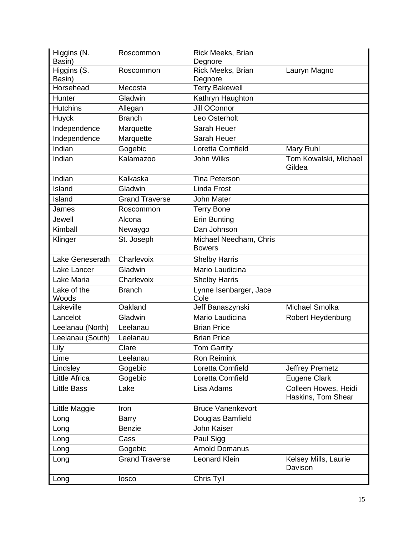| Higgins (N.<br>Basin) | Roscommon             | Rick Meeks, Brian<br>Degnore            |                                            |
|-----------------------|-----------------------|-----------------------------------------|--------------------------------------------|
| Higgins (S.<br>Basin) | Roscommon             | Rick Meeks, Brian<br>Degnore            | Lauryn Magno                               |
| Horsehead             | Mecosta               | <b>Terry Bakewell</b>                   |                                            |
| Hunter                | Gladwin               | Kathryn Haughton                        |                                            |
| <b>Hutchins</b>       | Allegan               | Jill OConnor                            |                                            |
| Huyck                 | <b>Branch</b>         | Leo Osterholt                           |                                            |
| Independence          | Marquette             | Sarah Heuer                             |                                            |
| Independence          | Marquette             | Sarah Heuer                             |                                            |
| Indian                | Gogebic               | Loretta Cornfield                       | Mary Ruhl                                  |
| Indian                | Kalamazoo             | <b>John Wilks</b>                       | Tom Kowalski, Michael<br>Gildea            |
| Indian                | Kalkaska              | <b>Tina Peterson</b>                    |                                            |
| <b>Island</b>         | Gladwin               | <b>Linda Frost</b>                      |                                            |
| Island                | <b>Grand Traverse</b> | <b>John Mater</b>                       |                                            |
| James                 | Roscommon             | <b>Terry Bone</b>                       |                                            |
| Jewell                | Alcona                | <b>Erin Bunting</b>                     |                                            |
| Kimball               | Newaygo               | Dan Johnson                             |                                            |
| Klinger               | St. Joseph            | Michael Needham, Chris<br><b>Bowers</b> |                                            |
| Lake Geneserath       | Charlevoix            | <b>Shelby Harris</b>                    |                                            |
| Lake Lancer           | Gladwin               | Mario Laudicina                         |                                            |
| Lake Maria            | Charlevoix            | <b>Shelby Harris</b>                    |                                            |
| Lake of the<br>Woods  | <b>Branch</b>         | Lynne Isenbarger, Jace<br>Cole          |                                            |
| Lakeville             | Oakland               | Jeff Banaszynski                        | Michael Smolka                             |
| Lancelot              | Gladwin               | Mario Laudicina                         | Robert Heydenburg                          |
| Leelanau (North)      | Leelanau              | <b>Brian Price</b>                      |                                            |
| Leelanau (South)      | Leelanau              | <b>Brian Price</b>                      |                                            |
| Lily                  | Clare                 | <b>Tom Garrity</b>                      |                                            |
| Lime                  | Leelanau              | Ron Reimink                             |                                            |
| Lindsley              | Gogebic               | Loretta Cornfield                       | Jeffrey Premetz                            |
| Little Africa         | Gogebic               | Loretta Cornfield                       | Eugene Clark                               |
| <b>Little Bass</b>    | Lake                  | Lisa Adams                              | Colleen Howes, Heidi<br>Haskins, Tom Shear |
| Little Maggie         | Iron                  | <b>Bruce Vanenkevort</b>                |                                            |
| Long                  | <b>Barry</b>          | Douglas Bamfield                        |                                            |
| Long                  | <b>Benzie</b>         | John Kaiser                             |                                            |
| Long                  | Cass                  | Paul Sigg                               |                                            |
| Long                  | Gogebic               | <b>Arnold Domanus</b>                   |                                            |
| Long                  | <b>Grand Traverse</b> | <b>Leonard Klein</b>                    | Kelsey Mills, Laurie<br>Davison            |
| Long                  | losco                 | Chris Tyll                              |                                            |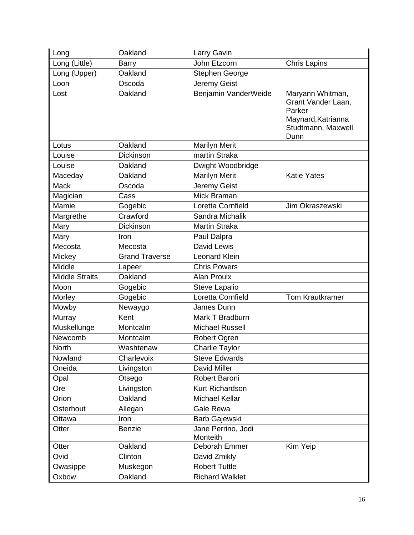| Long                  | Oakland               | Larry Gavin                    |                                                                                                      |
|-----------------------|-----------------------|--------------------------------|------------------------------------------------------------------------------------------------------|
| Long (Little)         | <b>Barry</b>          | John Etzcorn                   | <b>Chris Lapins</b>                                                                                  |
| Long (Upper)          | Oakland               | Stephen George                 |                                                                                                      |
| Loon                  | Oscoda                | Jeremy Geist                   |                                                                                                      |
| Lost                  | Oakland               | Benjamin VanderWeide           | Maryann Whitman,<br>Grant Vander Laan,<br>Parker<br>Maynard, Katrianna<br>Studtmann, Maxwell<br>Dunn |
| Lotus                 | Oakland               | <b>Marilyn Merit</b>           |                                                                                                      |
| Louise                | <b>Dickinson</b>      | martin Straka                  |                                                                                                      |
| Louise                | Oakland               | Dwight Woodbridge              |                                                                                                      |
| Maceday               | Oakland               | <b>Marilyn Merit</b>           | <b>Katie Yates</b>                                                                                   |
| Mack                  | Oscoda                | Jeremy Geist                   |                                                                                                      |
| Magician              | Cass                  | Mick Braman                    |                                                                                                      |
| Mamie                 | Gogebic               | Loretta Cornfield              | Jim Okraszewski                                                                                      |
| Margrethe             | Crawford              | Sandra Michalik                |                                                                                                      |
| Mary                  | Dickinson             | <b>Martin Straka</b>           |                                                                                                      |
| Mary                  | Iron                  | Paul Dalpra                    |                                                                                                      |
| Mecosta               | Mecosta               | David Lewis                    |                                                                                                      |
| Mickey                | <b>Grand Traverse</b> | <b>Leonard Klein</b>           |                                                                                                      |
| Middle                | Lapeer                | <b>Chris Powers</b>            |                                                                                                      |
| <b>Middle Straits</b> | Oakland               | <b>Alan Proulx</b>             |                                                                                                      |
| Moon                  | Gogebic               | Steve Lapalio                  |                                                                                                      |
| Morley                | Gogebic               | Loretta Cornfield              | <b>Tom Krautkramer</b>                                                                               |
| Mowby                 | Newaygo               | James Dunn                     |                                                                                                      |
| Murray                | Kent                  | Mark T Bradburn                |                                                                                                      |
| Muskellunge           | Montcalm              | <b>Michael Russell</b>         |                                                                                                      |
| Newcomb               | Montcalm              | Robert Ogren                   |                                                                                                      |
| <b>North</b>          | Washtenaw             | <b>Charlie Taylor</b>          |                                                                                                      |
| Nowland               | Charlevoix            | <b>Steve Edwards</b>           |                                                                                                      |
| Oneida                | Livingston            | David Miller                   |                                                                                                      |
| Opal                  | Otsego                | Robert Baroni                  |                                                                                                      |
| Ore                   | Livingston            | Kurt Richardson                |                                                                                                      |
| Orion                 | Oakland               | Michael Kellar                 |                                                                                                      |
| Osterhout             | Allegan               | Gale Rewa                      |                                                                                                      |
| Ottawa                | Iron                  | Barb Gajewski                  |                                                                                                      |
| Otter                 | <b>Benzie</b>         | Jane Perrino, Jodi<br>Monteith |                                                                                                      |
| Otter                 | Oakland               | Deborah Emmer                  | Kim Yeip                                                                                             |
| Ovid                  | Clinton               | David Zmikly                   |                                                                                                      |
| Owasippe              | Muskegon              | <b>Robert Tuttle</b>           |                                                                                                      |
| Oxbow                 | Oakland               | <b>Richard Walklet</b>         |                                                                                                      |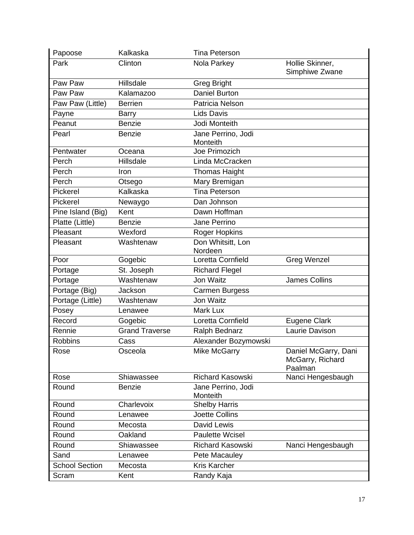| Papoose           | Kalkaska       | <b>Tina Peterson</b>           |                                                     |
|-------------------|----------------|--------------------------------|-----------------------------------------------------|
| Park              | Clinton        | Nola Parkey                    | Hollie Skinner,<br>Simphiwe Zwane                   |
| Paw Paw           | Hillsdale      | <b>Greg Bright</b>             |                                                     |
| Paw Paw           | Kalamazoo      | <b>Daniel Burton</b>           |                                                     |
| Paw Paw (Little)  | <b>Berrien</b> | Patricia Nelson                |                                                     |
| Payne             | <b>Barry</b>   | <b>Lids Davis</b>              |                                                     |
| Peanut            | <b>Benzie</b>  | Jodi Monteith                  |                                                     |
| Pearl             | <b>Benzie</b>  | Jane Perrino, Jodi             |                                                     |
|                   |                | Monteith                       |                                                     |
| Pentwater         | Oceana         | Joe Primozich                  |                                                     |
| Perch             | Hillsdale      | Linda McCracken                |                                                     |
| Perch             | Iron           | <b>Thomas Haight</b>           |                                                     |
| Perch             | Otsego         | Mary Bremigan                  |                                                     |
| Pickerel          | Kalkaska       | <b>Tina Peterson</b>           |                                                     |
| Pickerel          | Newaygo        | Dan Johnson                    |                                                     |
| Pine Island (Big) | Kent           | Dawn Hoffman                   |                                                     |
| Platte (Little)   | <b>Benzie</b>  | Jane Perrino                   |                                                     |
| Pleasant          | Wexford        | Roger Hopkins                  |                                                     |
| Pleasant          | Washtenaw      | Don Whitsitt, Lon              |                                                     |
|                   |                | Nordeen                        |                                                     |
| Poor              | Gogebic        | Loretta Cornfield              | <b>Greg Wenzel</b>                                  |
| Portage           | St. Joseph     | <b>Richard Flegel</b>          |                                                     |
| Portage           | Washtenaw      | <b>Jon Waitz</b>               | <b>James Collins</b>                                |
| Portage (Big)     | Jackson        | Carmen Burgess                 |                                                     |
| Portage (Little)  | Washtenaw      | <b>Jon Waitz</b>               |                                                     |
| Posey             | Lenawee        | Mark Lux                       |                                                     |
| Record            | Gogebic        | Loretta Cornfield              | <b>Eugene Clark</b>                                 |
| Rennie            | Grand Traverse | Ralph Bednarz                  | Laurie Davison                                      |
| <b>Robbins</b>    | Cass           | Alexander Bozymowski           |                                                     |
| Rose              | Osceola        | Mike McGarry                   | Daniel McGarry, Dani<br>McGarry, Richard<br>Paalman |
| Rose              | Shiawassee     | <b>Richard Kasowski</b>        | Nanci Hengesbaugh                                   |
| Round             | <b>Benzie</b>  | Jane Perrino, Jodi<br>Monteith |                                                     |
| Round             | Charlevoix     | <b>Shelby Harris</b>           |                                                     |
| Round             | Lenawee        | <b>Joette Collins</b>          |                                                     |
| Round             | Mecosta        | David Lewis                    |                                                     |
| Round             | Oakland        | <b>Paulette Wcisel</b>         |                                                     |
| Round             | Shiawassee     | <b>Richard Kasowski</b>        | Nanci Hengesbaugh                                   |
| Sand              | Lenawee        | Pete Macauley                  |                                                     |
| School Section    | Mecosta        | <b>Kris Karcher</b>            |                                                     |
| Scram             | Kent           | Randy Kaja                     |                                                     |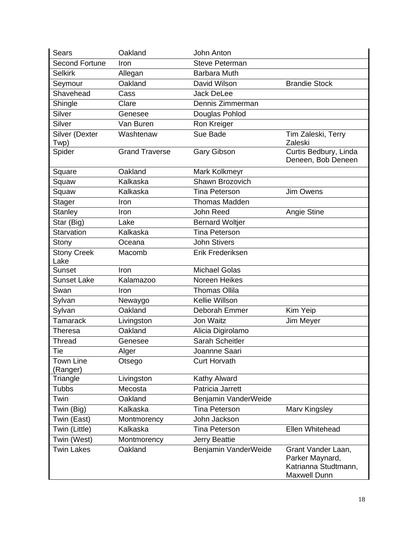| Sears                 | Oakland               | John Anton                       |                                                                                      |
|-----------------------|-----------------------|----------------------------------|--------------------------------------------------------------------------------------|
| <b>Second Fortune</b> | Iron                  | <b>Steve Peterman</b>            |                                                                                      |
| <b>Selkirk</b>        | Allegan               | <b>Barbara Muth</b>              |                                                                                      |
| Seymour               | Oakland               | David Wilson                     | <b>Brandie Stock</b>                                                                 |
| Shavehead             | Cass                  | <b>Jack DeLee</b>                |                                                                                      |
| Shingle               | Clare                 | Dennis Zimmerman                 |                                                                                      |
| Silver                | Genesee               | Douglas Pohlod                   |                                                                                      |
| Silver                | Van Buren             | Ron Kreiger                      |                                                                                      |
| Silver (Dexter        | Washtenaw             | Sue Bade                         | Tim Zaleski, Terry                                                                   |
| Twp)                  |                       |                                  | Zaleski                                                                              |
| Spider                | <b>Grand Traverse</b> | <b>Gary Gibson</b>               | Curtis Bedbury, Linda                                                                |
|                       |                       |                                  | Deneen, Bob Deneen                                                                   |
| Square                | Oakland               | Mark Kolkmeyr                    |                                                                                      |
| Squaw                 | Kalkaska              | Shawn Brozovich                  |                                                                                      |
| Squaw                 | Kalkaska              | <b>Tina Peterson</b>             | <b>Jim Owens</b>                                                                     |
| <b>Stager</b>         | Iron                  | <b>Thomas Madden</b>             |                                                                                      |
| <b>Stanley</b>        | Iron                  | John Reed                        | Angie Stine                                                                          |
| Star (Big)            | Lake                  | <b>Bernard Woltjer</b>           |                                                                                      |
| Starvation            | Kalkaska              | Tina Peterson                    |                                                                                      |
| Stony                 | Oceana                | <b>John Stivers</b>              |                                                                                      |
| <b>Stony Creek</b>    | Macomb                | Erik Frederiksen                 |                                                                                      |
| Lake                  |                       |                                  |                                                                                      |
| <b>Sunset</b>         | Iron                  | <b>Michael Golas</b>             |                                                                                      |
| <b>Sunset Lake</b>    | Kalamazoo             | Noreen Heikes                    |                                                                                      |
| Swan                  | Iron                  | <b>Thomas Ollila</b>             |                                                                                      |
| Sylvan                | Newaygo               | Kellie Willson                   |                                                                                      |
| Sylvan                | Oakland               | Deborah Emmer                    | Kim Yeip                                                                             |
| <b>Tamarack</b>       | Livingston            | <b>Jon Waitz</b>                 | Jim Meyer                                                                            |
| Theresa               | Oakland               | Alicia Digirolamo                |                                                                                      |
| <b>Thread</b>         | Genesee               | Sarah Scheitler                  |                                                                                      |
| Tie                   | Alger                 | Joannne Saari                    |                                                                                      |
| <b>Town Line</b>      | Otsego                | <b>Curt Horvath</b>              |                                                                                      |
| (Ranger)              |                       |                                  |                                                                                      |
| Triangle              | Livingston            | Kathy Alward<br>Patricia Jarrett |                                                                                      |
| Tubbs                 | Mecosta               |                                  |                                                                                      |
| Twin                  | Oakland               | Benjamin VanderWeide             |                                                                                      |
| Twin (Big)            | Kalkaska              | <b>Tina Peterson</b>             | Marv Kingsley                                                                        |
| Twin (East)           | Montmorency           | John Jackson                     |                                                                                      |
| Twin (Little)         | Kalkaska              | <b>Tina Peterson</b>             | Ellen Whitehead                                                                      |
| Twin (West)           | Montmorency           | <b>Jerry Beattie</b>             |                                                                                      |
| <b>Twin Lakes</b>     | Oakland               | Benjamin VanderWeide             | Grant Vander Laan,<br>Parker Maynard,<br>Katrianna Studtmann,<br><b>Maxwell Dunn</b> |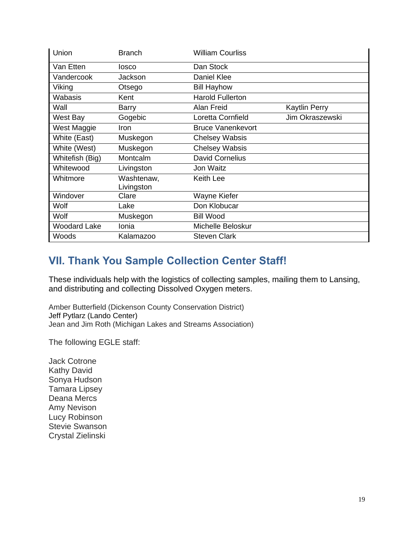| Union               | <b>Branch</b> | <b>William Courliss</b>  |                      |
|---------------------|---------------|--------------------------|----------------------|
| Van Etten           | losco         | Dan Stock                |                      |
| Vandercook          | Jackson       | Daniel Klee              |                      |
| Viking              | Otsego        | <b>Bill Hayhow</b>       |                      |
| Wabasis             | Kent          | <b>Harold Fullerton</b>  |                      |
| Wall                | Barry         | Alan Freid               | <b>Kaytlin Perry</b> |
| West Bay            | Gogebic       | Loretta Cornfield        | Jim Okraszewski      |
| West Maggie         | Iron          | <b>Bruce Vanenkevort</b> |                      |
| White (East)        | Muskegon      | <b>Chelsey Wabsis</b>    |                      |
| White (West)        | Muskegon      | <b>Chelsey Wabsis</b>    |                      |
| Whitefish (Big)     | Montcalm      | <b>David Cornelius</b>   |                      |
| Whitewood           | Livingston    | <b>Jon Waitz</b>         |                      |
| Whitmore            | Washtenaw,    | <b>Keith Lee</b>         |                      |
|                     | Livingston    |                          |                      |
| Windover            | Clare         | Wayne Kiefer             |                      |
| Wolf                | Lake          | Don Klobucar             |                      |
| Wolf                | Muskegon      | <b>Bill Wood</b>         |                      |
| <b>Woodard Lake</b> | Ionia         | Michelle Beloskur        |                      |
| Woods               | Kalamazoo     | <b>Steven Clark</b>      |                      |

### <span id="page-18-0"></span>**VII. Thank You Sample Collection Center Staff!**

These individuals help with the logistics of collecting samples, mailing them to Lansing, and distributing and collecting Dissolved Oxygen meters.

Amber Butterfield (Dickenson County Conservation District) Jeff Pytlarz (Lando Center) Jean and Jim Roth (Michigan Lakes and Streams Association)

The following EGLE staff:

Jack Cotrone Kathy David Sonya Hudson Tamara Lipsey Deana Mercs Amy Nevison Lucy Robinson Stevie Swanson Crystal Zielinski